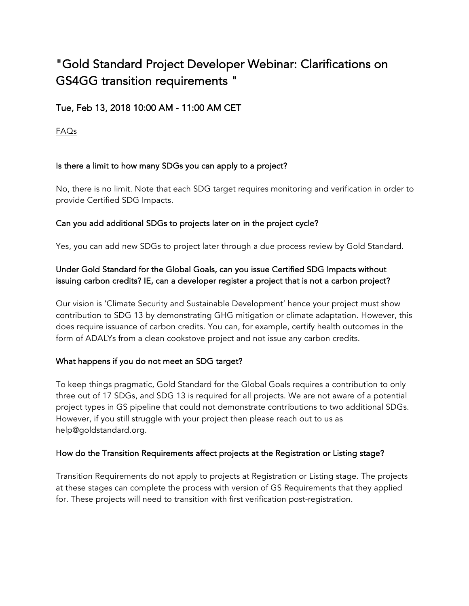# "Gold Standard Project Developer Webinar: Clarifications on GS4GG transition requirements "

# Tue, Feb 13, 2018 10:00 AM - 11:00 AM CET

FAQs

## Is there a limit to how many SDGs you can apply to a project?

No, there is no limit. Note that each SDG target requires monitoring and verification in order to provide Certified SDG Impacts.

## Can you add additional SDGs to projects later on in the project cycle?

Yes, you can add new SDGs to project later through a due process review by Gold Standard.

# Under Gold Standard for the Global Goals, can you issue Certified SDG Impacts without issuing carbon credits? IE, can a developer register a project that is not a carbon project?

Our vision is 'Climate Security and Sustainable Development' hence your project must show contribution to SDG 13 by demonstrating GHG mitigation or climate adaptation. However, this does require issuance of carbon credits. You can, for example, certify health outcomes in the form of ADALYs from a clean cookstove project and not issue any carbon credits.

## What happens if you do not meet an SDG target?

To keep things pragmatic, Gold Standard for the Global Goals requires a contribution to only three out of 17 SDGs, and SDG 13 is required for all projects. We are not aware of a potential project types in GS pipeline that could not demonstrate contributions to two additional SDGs. However, if you still struggle with your project then please reach out to us as help@goldstandard.org.

## How do the Transition Requirements affect projects at the Registration or Listing stage?

Transition Requirements do not apply to projects at Registration or Listing stage. The projects at these stages can complete the process with version of GS Requirements that they applied for. These projects will need to transition with first verification post-registration.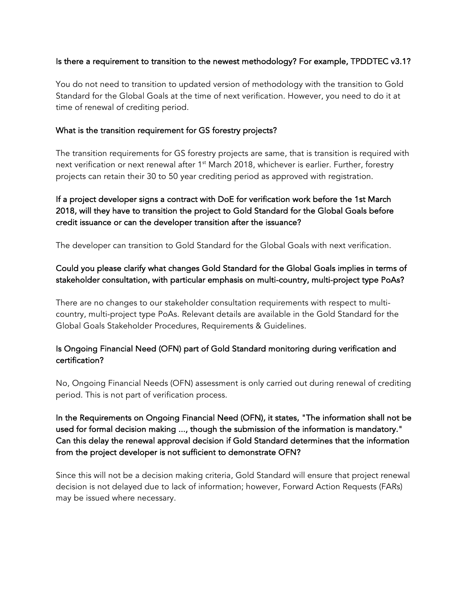### Is there a requirement to transition to the newest methodology? For example, TPDDTEC v3.1?

You do not need to transition to updated version of methodology with the transition to Gold Standard for the Global Goals at the time of next verification. However, you need to do it at time of renewal of crediting period.

#### What is the transition requirement for GS forestry projects?

The transition requirements for GS forestry projects are same, that is transition is required with next verification or next renewal after  $1<sup>st</sup>$  March 2018, whichever is earlier. Further, forestry projects can retain their 30 to 50 year crediting period as approved with registration.

# If a project developer signs a contract with DoE for verification work before the 1st March 2018, will they have to transition the project to Gold Standard for the Global Goals before credit issuance or can the developer transition after the issuance?

The developer can transition to Gold Standard for the Global Goals with next verification.

# Could you please clarify what changes Gold Standard for the Global Goals implies in terms of stakeholder consultation, with particular emphasis on multi-country, multi-project type PoAs?

There are no changes to our stakeholder consultation requirements with respect to multicountry, multi-project type PoAs. Relevant details are available in the Gold Standard for the Global Goals Stakeholder Procedures, Requirements & Guidelines.

## Is Ongoing Financial Need (OFN) part of Gold Standard monitoring during verification and certification?

No, Ongoing Financial Needs (OFN) assessment is only carried out during renewal of crediting period. This is not part of verification process.

In the Requirements on Ongoing Financial Need (OFN), it states, "The information shall not be used for formal decision making ..., though the submission of the information is mandatory." Can this delay the renewal approval decision if Gold Standard determines that the information from the project developer is not sufficient to demonstrate OFN?

Since this will not be a decision making criteria, Gold Standard will ensure that project renewal decision is not delayed due to lack of information; however, Forward Action Requests (FARs) may be issued where necessary.